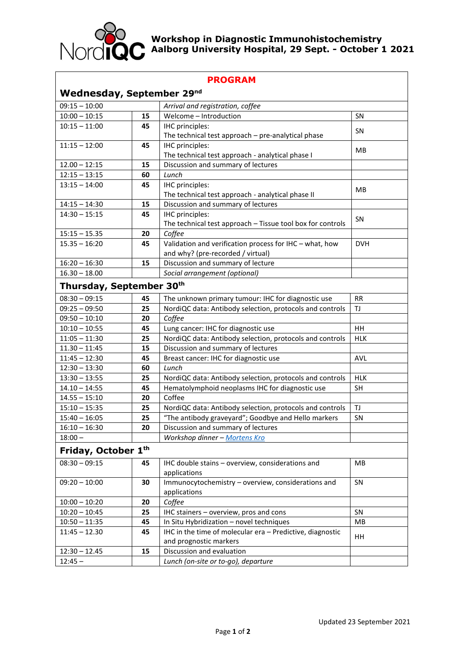

## **Workshop in Diagnostic Immunohistochemistry Aalborg University Hospital, 29 Sept. - October 1 2021**

| <b>PROGRAM</b>                        |    |                                                            |            |
|---------------------------------------|----|------------------------------------------------------------|------------|
| Wednesday, September 29 <sup>nd</sup> |    |                                                            |            |
| $09:15 - 10:00$                       |    | Arrival and registration, coffee                           |            |
| $10:00 - 10:15$                       | 15 | Welcome - Introduction                                     | SN         |
| $10:15 - 11:00$                       | 45 | IHC principles:                                            |            |
|                                       |    | The technical test approach - pre-analytical phase         | SN         |
| $11:15 - 12:00$                       | 45 | IHC principles:                                            |            |
|                                       |    | The technical test approach - analytical phase I           | <b>MB</b>  |
| $12.00 - 12:15$                       | 15 | Discussion and summary of lectures                         |            |
| $12:15 - 13:15$                       | 60 | Lunch                                                      |            |
| $13:15 - 14:00$                       | 45 | IHC principles:                                            |            |
|                                       |    | The technical test approach - analytical phase II          | MB         |
| $14:15 - 14:30$                       | 15 | Discussion and summary of lectures                         |            |
| $14:30 - 15:15$                       | 45 | IHC principles:                                            |            |
|                                       |    | The technical test approach - Tissue tool box for controls | SN         |
| $15:15 - 15.35$                       | 20 | Coffee                                                     |            |
| $15.35 - 16:20$                       | 45 | Validation and verification process for IHC - what, how    | <b>DVH</b> |
|                                       |    | and why? (pre-recorded / virtual)                          |            |
| $16:20 - 16:30$                       | 15 | Discussion and summary of lecture                          |            |
| $16.30 - 18.00$                       |    | Social arrangement (optional)                              |            |
|                                       |    |                                                            |            |
| Thursday, September 30th              |    |                                                            |            |
| $08:30 - 09:15$                       | 45 | The unknown primary tumour: IHC for diagnostic use         | <b>RR</b>  |
| $09:25 - 09:50$                       | 25 | NordiQC data: Antibody selection, protocols and controls   | TJ         |
| $09:50 - 10:10$                       | 20 | Coffee                                                     |            |
| $10:10 - 10:55$                       | 45 | Lung cancer: IHC for diagnostic use                        | HH         |
| $11:05 - 11:30$                       | 25 | NordiQC data: Antibody selection, protocols and controls   | <b>HLK</b> |
| $11.30 - 11:45$                       | 15 | Discussion and summary of lectures                         |            |
| $11:45 - 12:30$                       | 45 | Breast cancer: IHC for diagnostic use                      | <b>AVL</b> |
| $12:30 - 13:30$                       | 60 | Lunch                                                      |            |
| $13:30 - 13:55$                       | 25 | NordiQC data: Antibody selection, protocols and controls   | <b>HLK</b> |
| $14.10 - 14:55$                       | 45 | Hematolymphoid neoplasms IHC for diagnostic use            | <b>SH</b>  |
| $14.55 - 15:10$                       | 20 | Coffee                                                     |            |
| $15:10 - 15:35$                       | 25 | NordiQC data: Antibody selection, protocols and controls   | TJ         |
| $15:40 - 16:05$                       | 25 | "The antibody graveyard"; Goodbye and Hello markers        | SN         |
| $16:10 - 16:30$                       | 20 | Discussion and summary of lectures                         |            |
| $18:00 -$                             |    | Workshop dinner - Mortens Kro                              |            |
| Friday, October 1th                   |    |                                                            |            |
|                                       |    |                                                            |            |
| $08:30 - 09:15$                       | 45 | IHC double stains - overview, considerations and           | MB         |
| $09:20 - 10:00$                       |    | applications                                               |            |
|                                       | 30 | Immunocytochemistry - overview, considerations and         | SN         |
| $10:00 - 10:20$                       | 20 | applications<br>Coffee                                     |            |
|                                       |    |                                                            |            |
| $10:20 - 10:45$                       | 25 | IHC stainers - overview, pros and cons                     | <b>SN</b>  |
| $10:50 - 11:35$                       | 45 | In Situ Hybridization - novel techniques                   | MB         |
| $11:45 - 12.30$                       | 45 | IHC in the time of molecular era - Predictive, diagnostic  | HH         |
|                                       |    | and prognostic markers                                     |            |
| $12:30 - 12.45$                       | 15 | Discussion and evaluation                                  |            |
| $12:45 -$                             |    | Lunch (on-site or to-go), departure                        |            |